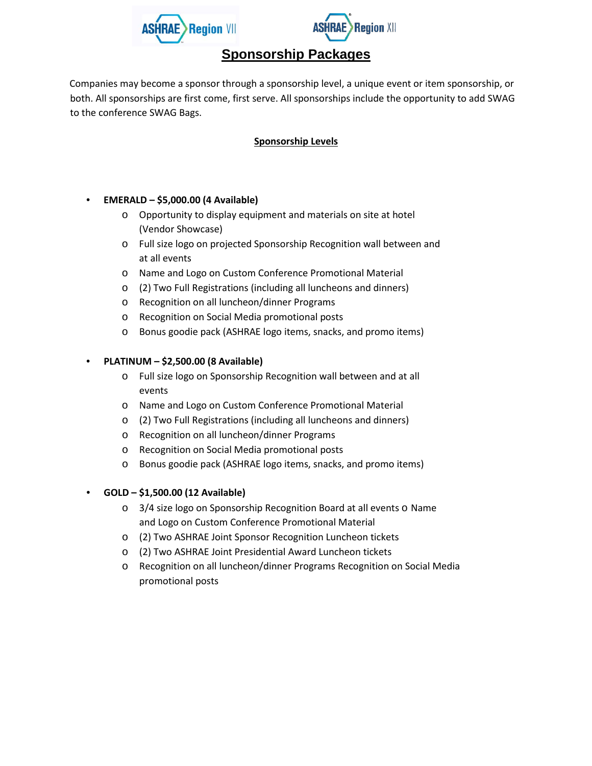



# **Sponsorship Packages**

Companies may become a sponsor through a sponsorship level, a unique event or item sponsorship, or both. All sponsorships are first come, first serve. All sponsorships include the opportunity to add SWAG to the conference SWAG Bags.

## **Sponsorship Levels**

## • **EMERALD – \$5,000.00 (4 Available)**

- o Opportunity to display equipment and materials on site at hotel (Vendor Showcase)
- o Full size logo on projected Sponsorship Recognition wall between and at all events
- o Name and Logo on Custom Conference Promotional Material
- o (2) Two Full Registrations (including all luncheons and dinners)
- o Recognition on all luncheon/dinner Programs
- o Recognition on Social Media promotional posts
- o Bonus goodie pack (ASHRAE logo items, snacks, and promo items)

## • **PLATINUM – \$2,500.00 (8 Available)**

- o Full size logo on Sponsorship Recognition wall between and at all events
- o Name and Logo on Custom Conference Promotional Material
- o (2) Two Full Registrations (including all luncheons and dinners)
- o Recognition on all luncheon/dinner Programs
- o Recognition on Social Media promotional posts
- o Bonus goodie pack (ASHRAE logo items, snacks, and promo items)

## • **GOLD – \$1,500.00 (12 Available)**

- o 3/4 size logo on Sponsorship Recognition Board at all events o Name and Logo on Custom Conference Promotional Material
- o (2) Two ASHRAE Joint Sponsor Recognition Luncheon tickets
- o (2) Two ASHRAE Joint Presidential Award Luncheon tickets
- o Recognition on all luncheon/dinner Programs Recognition on Social Media promotional posts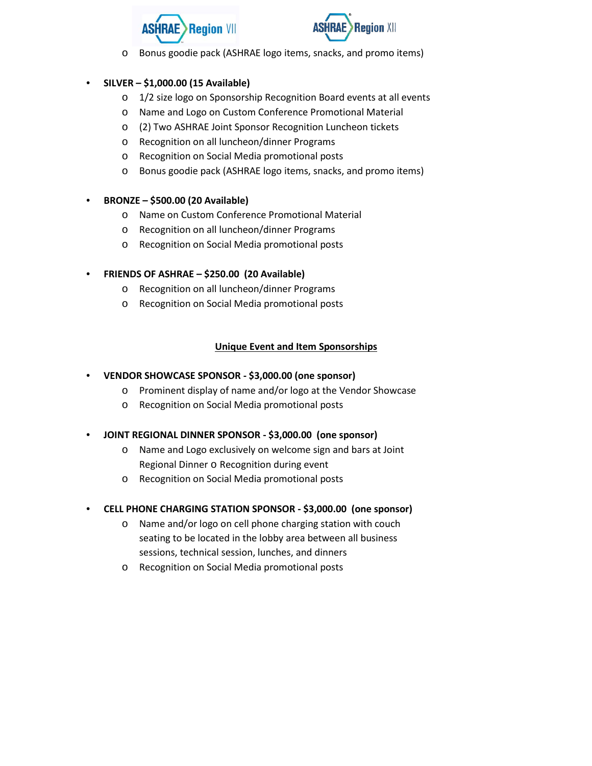



o Bonus goodie pack (ASHRAE logo items, snacks, and promo items)

#### • **SILVER – \$1,000.00 (15 Available)**

- o 1/2 size logo on Sponsorship Recognition Board events at all events
- o Name and Logo on Custom Conference Promotional Material
- o (2) Two ASHRAE Joint Sponsor Recognition Luncheon tickets
- o Recognition on all luncheon/dinner Programs
- o Recognition on Social Media promotional posts
- o Bonus goodie pack (ASHRAE logo items, snacks, and promo items)

#### • **BRONZE – \$500.00 (20 Available)**

- o Name on Custom Conference Promotional Material
- o Recognition on all luncheon/dinner Programs
- o Recognition on Social Media promotional posts

#### • **FRIENDS OF ASHRAE – \$250.00 (20 Available)**

- o Recognition on all luncheon/dinner Programs
- o Recognition on Social Media promotional posts

#### **Unique Event and Item Sponsorships**

- **VENDOR SHOWCASE SPONSOR - \$3,000.00 (one sponsor)**
	- o Prominent display of name and/or logo at the Vendor Showcase
	- o Recognition on Social Media promotional posts

#### • **JOINT REGIONAL DINNER SPONSOR - \$3,000.00 (one sponsor)**

- o Name and Logo exclusively on welcome sign and bars at Joint Regional Dinner o Recognition during event
- o Recognition on Social Media promotional posts
- **CELL PHONE CHARGING STATION SPONSOR - \$3,000.00 (one sponsor)**
	- o Name and/or logo on cell phone charging station with couch seating to be located in the lobby area between all business sessions, technical session, lunches, and dinners
	- o Recognition on Social Media promotional posts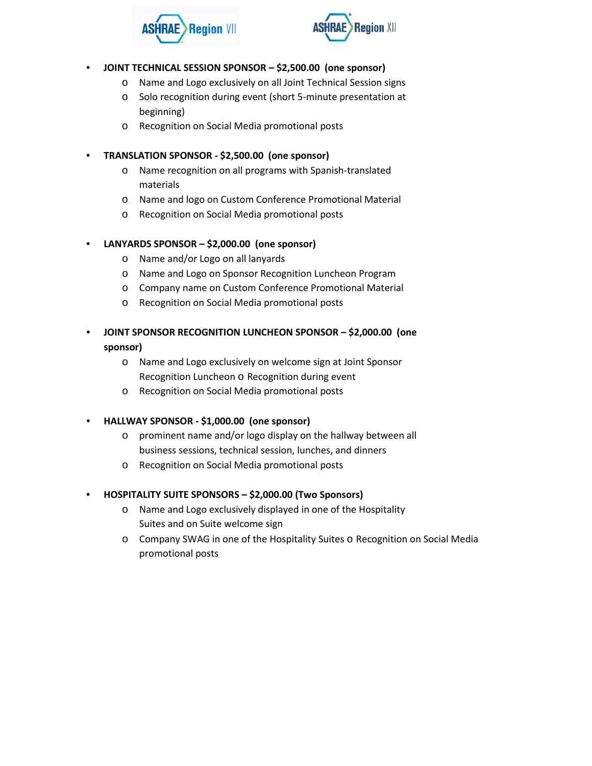



#### • **JOINT TECHNICAL SESSION SPONSOR – \$2,500.00 (one sponsor)**

- o Name and Logo exclusively on all Joint Technical Session signs
- o Solo recognition during event (short 5-minute presentation at beginning)
- o Recognition on Social Media promotional posts

#### • **TRANSLATION SPONSOR - \$2,500.00 (one sponsor)**

- o Name recognition on all programs with Spanish-translated materials
- o Name and logo on Custom Conference Promotional Material
- o Recognition on Social Media promotional posts

### • **LANYARDS SPONSOR – \$2,000.00 (one sponsor)**

- o Name and/or Logo on all lanyards
- o Name and Logo on Sponsor Recognition Luncheon Program
- o Company name on Custom Conference Promotional Material
- o Recognition on Social Media promotional posts
- **JOINT SPONSOR RECOGNITION LUNCHEON SPONSOR – \$2,000.00 (one sponsor)**
	- o Name and Logo exclusively on welcome sign at Joint Sponsor Recognition Luncheon o Recognition during event
	- o Recognition on Social Media promotional posts

### • **HALLWAY SPONSOR - \$1,000.00 (one sponsor)**

- o prominent name and/or logo display on the hallway between all business sessions, technical session, lunches, and dinners
- o Recognition on Social Media promotional posts

## • **HOSPITALITY SUITE SPONSORS – \$2,000.00 (Two Sponsors)**

- o Name and Logo exclusively displayed in one of the Hospitality Suites and on Suite welcome sign
- o Company SWAG in one of the Hospitality Suites o Recognition on Social Media promotional posts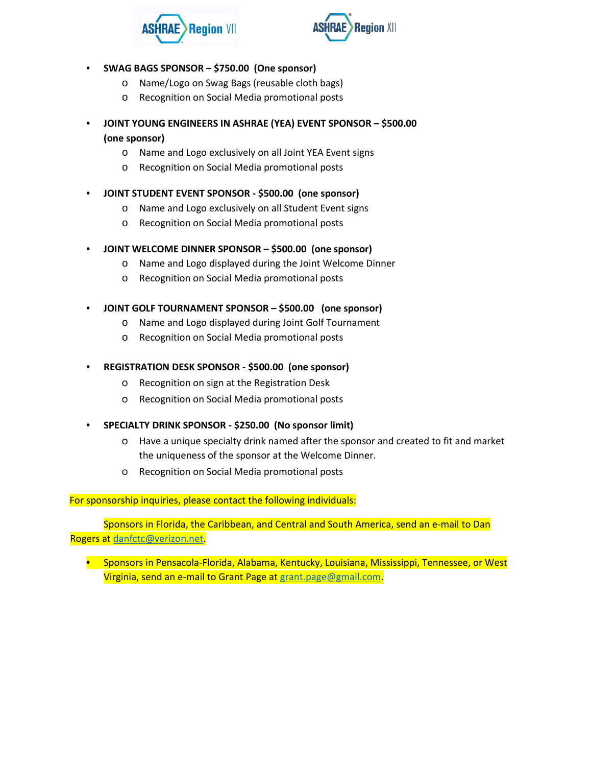



- **SWAG BAGS SPONSOR – \$750.00 (One sponsor)**
	- o Name/Logo on Swag Bags (reusable cloth bags)
	- o Recognition on Social Media promotional posts
- **JOINT YOUNG ENGINEERS IN ASHRAE (YEA) EVENT SPONSOR – \$500.00 (one sponsor)**
	- o Name and Logo exclusively on all Joint YEA Event signs
	- o Recognition on Social Media promotional posts
- **JOINT STUDENT EVENT SPONSOR - \$500.00 (one sponsor)**
	- o Name and Logo exclusively on all Student Event signs
	- o Recognition on Social Media promotional posts
- **JOINT WELCOME DINNER SPONSOR – \$500.00 (one sponsor)**
	- o Name and Logo displayed during the Joint Welcome Dinner
	- o Recognition on Social Media promotional posts
- **JOINT GOLF TOURNAMENT SPONSOR – \$500.00 (one sponsor)**
	- o Name and Logo displayed during Joint Golf Tournament
	- o Recognition on Social Media promotional posts
- **REGISTRATION DESK SPONSOR - \$500.00 (one sponsor)**
	- o Recognition on sign at the Registration Desk
	- o Recognition on Social Media promotional posts
- **SPECIALTY DRINK SPONSOR - \$250.00 (No sponsor limit)**
	- o Have a unique specialty drink named after the sponsor and created to fit and market the uniqueness of the sponsor at the Welcome Dinner.
	- o Recognition on Social Media promotional posts

For sponsorship inquiries, please contact the following individuals:

Sponsors in Florida, the Caribbean, and Central and South America, send an e-mail to Dan Rogers at danfctc@verizon.net.

• Sponsors in Pensacola-Florida, Alabama, Kentucky, Louisiana, Mississippi, Tennessee, or West Virginia, send an e-mail to Grant Page at grant.page@gmail.com.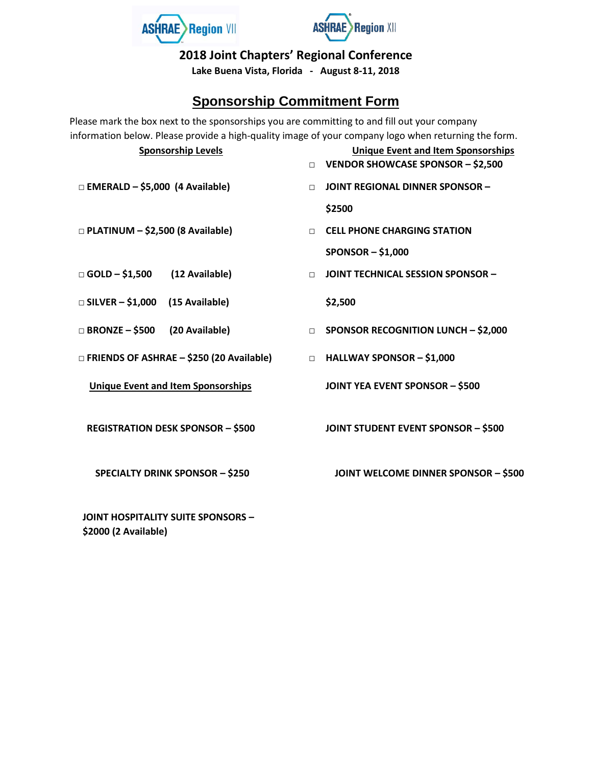



**2018 Joint Chapters' Regional Conference** 

**Lake Buena Vista, Florida - August 8-11, 2018** 

# **Sponsorship Commitment Form**

Please mark the box next to the sponsorships you are committing to and fill out your company information below. Please provide a high-quality image of your company logo when returning the form.

| <b>Sponsorship Levels</b>                  | <b>Unique Event and Item Sponsorships</b><br>VENDOR SHOWCASE SPONSOR - \$2,500<br>$\Box$ |
|--------------------------------------------|------------------------------------------------------------------------------------------|
| $\Box$ EMERALD – \$5,000 (4 Available)     | <b>JOINT REGIONAL DINNER SPONSOR -</b><br>$\Box$                                         |
|                                            | \$2500                                                                                   |
| $\Box$ PLATINUM - \$2,500 (8 Available)    | <b>CELL PHONE CHARGING STATION</b><br>$\Box$                                             |
|                                            | $SPONSOR - $1,000$                                                                       |
| $\Box$ GOLD - \$1,500<br>(12 Available)    | JOINT TECHNICAL SESSION SPONSOR -<br>$\Box$                                              |
| $\Box$ SILVER - \$1,000<br>(15 Available)  | \$2,500                                                                                  |
| $\Box$ BRONZE - \$500<br>(20 Available)    | <b>SPONSOR RECOGNITION LUNCH - \$2,000</b><br>$\Box$                                     |
| □ FRIENDS OF ASHRAE - \$250 (20 Available) | <b>HALLWAY SPONSOR - \$1,000</b><br>$\Box$                                               |
| <b>Unique Event and Item Sponsorships</b>  | <b>JOINT YEA EVENT SPONSOR - \$500</b>                                                   |
| <b>REGISTRATION DESK SPONSOR - \$500</b>   | <b>JOINT STUDENT EVENT SPONSOR - \$500</b>                                               |
| <b>SPECIALTY DRINK SPONSOR - \$250</b>     | <b>JOINT WELCOME DINNER SPONSOR - \$500</b>                                              |
| <b>JOINT HOSPITALITY SUITE SPONSORS -</b>  |                                                                                          |

**\$2000 (2 Available)**